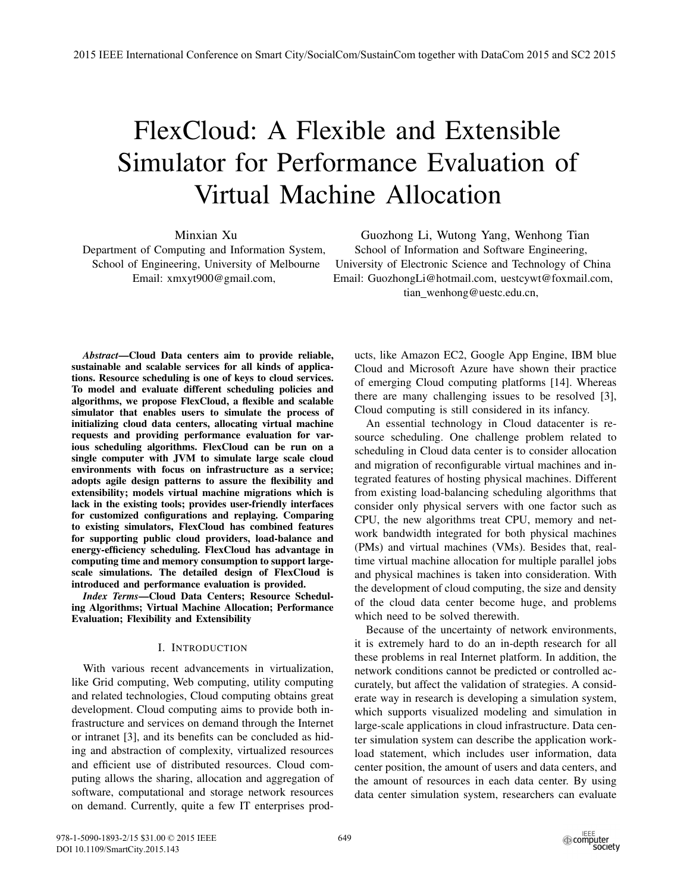# FlexCloud: A Flexible and Extensible Simulator for Performance Evaluation of Virtual Machine Allocation

Minxian Xu

Department of Computing and Information System, School of Engineering, University of Melbourne Email: xmxyt900@gmail.com,

Guozhong Li, Wutong Yang, Wenhong Tian School of Information and Software Engineering, University of Electronic Science and Technology of China Email: GuozhongLi@hotmail.com, uestcywt@foxmail.com, tian wenhong@uestc.edu.cn,

*Abstract*—Cloud Data centers aim to provide reliable, sustainable and scalable services for all kinds of applications. Resource scheduling is one of keys to cloud services. To model and evaluate different scheduling policies and algorithms, we propose FlexCloud, a flexible and scalable simulator that enables users to simulate the process of initializing cloud data centers, allocating virtual machine requests and providing performance evaluation for various scheduling algorithms. FlexCloud can be run on a single computer with JVM to simulate large scale cloud environments with focus on infrastructure as a service; adopts agile design patterns to assure the flexibility and extensibility; models virtual machine migrations which is lack in the existing tools; provides user-friendly interfaces for customized configurations and replaying. Comparing to existing simulators, FlexCloud has combined features for supporting public cloud providers, load-balance and energy-efficiency scheduling. FlexCloud has advantage in computing time and memory consumption to support largescale simulations. The detailed design of FlexCloud is introduced and performance evaluation is provided.

*Index Terms*—Cloud Data Centers; Resource Scheduling Algorithms; Virtual Machine Allocation; Performance Evaluation; Flexibility and Extensibility

# I. INTRODUCTION

With various recent advancements in virtualization, like Grid computing, Web computing, utility computing and related technologies, Cloud computing obtains great development. Cloud computing aims to provide both infrastructure and services on demand through the Internet or intranet [3], and its benefits can be concluded as hiding and abstraction of complexity, virtualized resources and efficient use of distributed resources. Cloud computing allows the sharing, allocation and aggregation of software, computational and storage network resources on demand. Currently, quite a few IT enterprises products, like Amazon EC2, Google App Engine, IBM blue Cloud and Microsoft Azure have shown their practice of emerging Cloud computing platforms [14]. Whereas there are many challenging issues to be resolved [3], Cloud computing is still considered in its infancy.

An essential technology in Cloud datacenter is resource scheduling. One challenge problem related to scheduling in Cloud data center is to consider allocation and migration of reconfigurable virtual machines and integrated features of hosting physical machines. Different from existing load-balancing scheduling algorithms that consider only physical servers with one factor such as CPU, the new algorithms treat CPU, memory and network bandwidth integrated for both physical machines (PMs) and virtual machines (VMs). Besides that, realtime virtual machine allocation for multiple parallel jobs and physical machines is taken into consideration. With the development of cloud computing, the size and density of the cloud data center become huge, and problems which need to be solved therewith.

Because of the uncertainty of network environments, it is extremely hard to do an in-depth research for all these problems in real Internet platform. In addition, the network conditions cannot be predicted or controlled accurately, but affect the validation of strategies. A considerate way in research is developing a simulation system, which supports visualized modeling and simulation in large-scale applications in cloud infrastructure. Data center simulation system can describe the application workload statement, which includes user information, data center position, the amount of users and data centers, and the amount of resources in each data center. By using data center simulation system, researchers can evaluate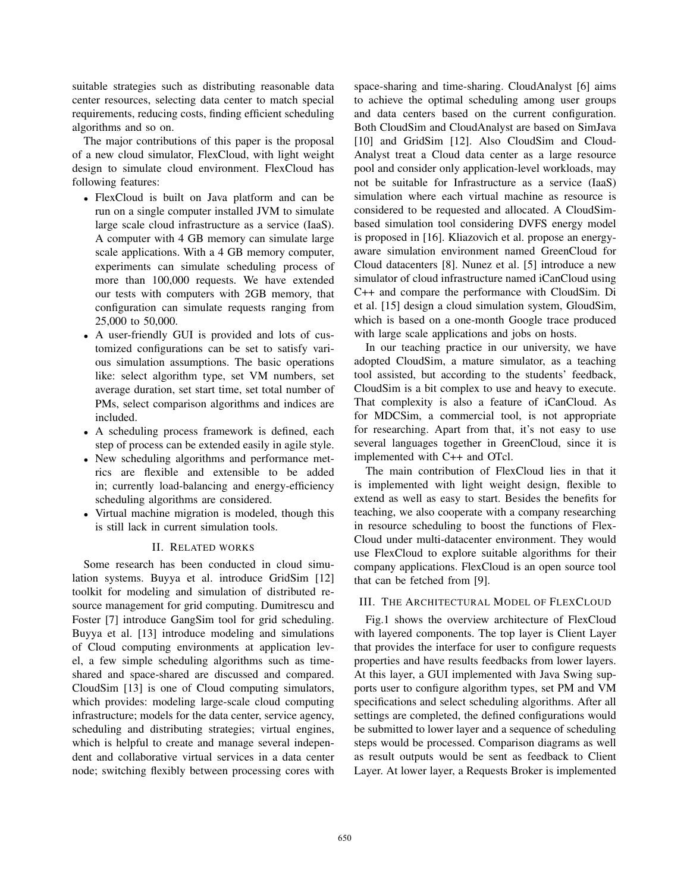suitable strategies such as distributing reasonable data center resources, selecting data center to match special requirements, reducing costs, finding efficient scheduling algorithms and so on.

The major contributions of this paper is the proposal of a new cloud simulator, FlexCloud, with light weight design to simulate cloud environment. FlexCloud has following features:

- FlexCloud is built on Java platform and can be run on a single computer installed JVM to simulate large scale cloud infrastructure as a service (IaaS). A computer with 4 GB memory can simulate large scale applications. With a 4 GB memory computer, experiments can simulate scheduling process of more than 100,000 requests. We have extended our tests with computers with 2GB memory, that configuration can simulate requests ranging from 25,000 to 50,000.
- A user-friendly GUI is provided and lots of customized configurations can be set to satisfy various simulation assumptions. The basic operations like: select algorithm type, set VM numbers, set average duration, set start time, set total number of PMs, select comparison algorithms and indices are included.
- A scheduling process framework is defined, each step of process can be extended easily in agile style.
- New scheduling algorithms and performance metrics are flexible and extensible to be added in; currently load-balancing and energy-efficiency scheduling algorithms are considered.
- Virtual machine migration is modeled, though this is still lack in current simulation tools.

## II. RELATED WORKS

Some research has been conducted in cloud simulation systems. Buyya et al. introduce GridSim [12] toolkit for modeling and simulation of distributed resource management for grid computing. Dumitrescu and Foster [7] introduce GangSim tool for grid scheduling. Buyya et al. [13] introduce modeling and simulations of Cloud computing environments at application level, a few simple scheduling algorithms such as timeshared and space-shared are discussed and compared. CloudSim [13] is one of Cloud computing simulators, which provides: modeling large-scale cloud computing infrastructure; models for the data center, service agency, scheduling and distributing strategies; virtual engines, which is helpful to create and manage several independent and collaborative virtual services in a data center node; switching flexibly between processing cores with space-sharing and time-sharing. CloudAnalyst [6] aims to achieve the optimal scheduling among user groups and data centers based on the current configuration. Both CloudSim and CloudAnalyst are based on SimJava [10] and GridSim [12]. Also CloudSim and Cloud-Analyst treat a Cloud data center as a large resource pool and consider only application-level workloads, may not be suitable for Infrastructure as a service (IaaS) simulation where each virtual machine as resource is considered to be requested and allocated. A CloudSimbased simulation tool considering DVFS energy model is proposed in [16]. Kliazovich et al. propose an energyaware simulation environment named GreenCloud for Cloud datacenters [8]. Nunez et al. [5] introduce a new simulator of cloud infrastructure named iCanCloud using C++ and compare the performance with CloudSim. Di et al. [15] design a cloud simulation system, GloudSim, which is based on a one-month Google trace produced with large scale applications and jobs on hosts.

In our teaching practice in our university, we have adopted CloudSim, a mature simulator, as a teaching tool assisted, but according to the students' feedback, CloudSim is a bit complex to use and heavy to execute. That complexity is also a feature of iCanCloud. As for MDCSim, a commercial tool, is not appropriate for researching. Apart from that, it's not easy to use several languages together in GreenCloud, since it is implemented with C++ and OTcl.

The main contribution of FlexCloud lies in that it is implemented with light weight design, flexible to extend as well as easy to start. Besides the benefits for teaching, we also cooperate with a company researching in resource scheduling to boost the functions of Flex-Cloud under multi-datacenter environment. They would use FlexCloud to explore suitable algorithms for their company applications. FlexCloud is an open source tool that can be fetched from [9].

# III. THE ARCHITECTURAL MODEL OF FLEXCLOUD

Fig.1 shows the overview architecture of FlexCloud with layered components. The top layer is Client Layer that provides the interface for user to configure requests properties and have results feedbacks from lower layers. At this layer, a GUI implemented with Java Swing supports user to configure algorithm types, set PM and VM specifications and select scheduling algorithms. After all settings are completed, the defined configurations would be submitted to lower layer and a sequence of scheduling steps would be processed. Comparison diagrams as well as result outputs would be sent as feedback to Client Layer. At lower layer, a Requests Broker is implemented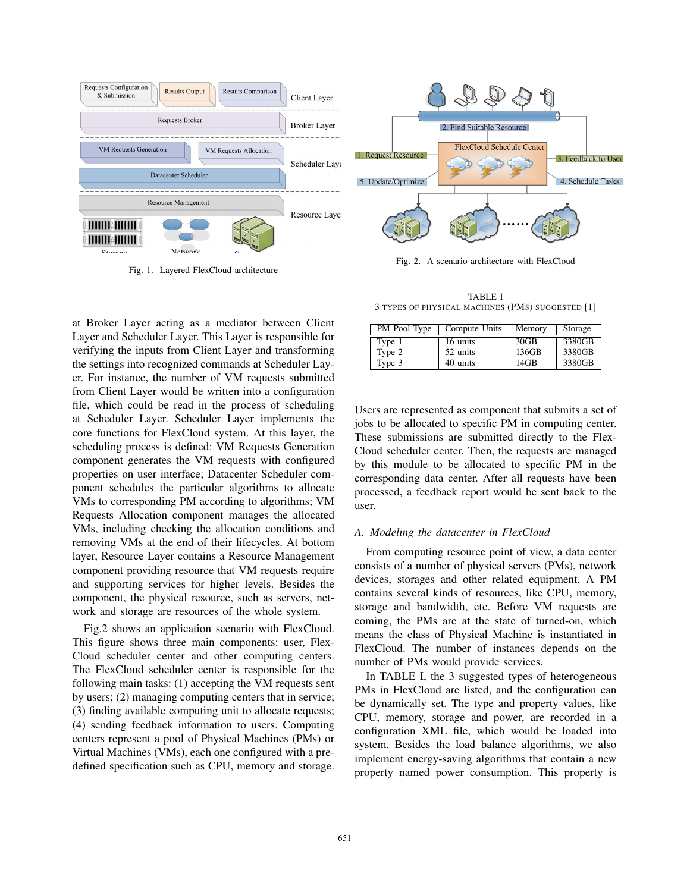

Fig. 1. Layered FlexCloud architecture

at Broker Layer acting as a mediator between Client Layer and Scheduler Layer. This Layer is responsible for verifying the inputs from Client Layer and transforming the settings into recognized commands at Scheduler Layer. For instance, the number of VM requests submitted from Client Layer would be written into a configuration file, which could be read in the process of scheduling at Scheduler Layer. Scheduler Layer implements the core functions for FlexCloud system. At this layer, the scheduling process is defined: VM Requests Generation component generates the VM requests with configured properties on user interface; Datacenter Scheduler component schedules the particular algorithms to allocate VMs to corresponding PM according to algorithms; VM Requests Allocation component manages the allocated VMs, including checking the allocation conditions and removing VMs at the end of their lifecycles. At bottom layer, Resource Layer contains a Resource Management component providing resource that VM requests require and supporting services for higher levels. Besides the component, the physical resource, such as servers, network and storage are resources of the whole system.

Fig.2 shows an application scenario with FlexCloud. This figure shows three main components: user, Flex-Cloud scheduler center and other computing centers. The FlexCloud scheduler center is responsible for the following main tasks: (1) accepting the VM requests sent by users; (2) managing computing centers that in service; (3) finding available computing unit to allocate requests; (4) sending feedback information to users. Computing centers represent a pool of Physical Machines (PMs) or Virtual Machines (VMs), each one configured with a predefined specification such as CPU, memory and storage.

Fig. 2. A scenario architecture with FlexCloud

TABLE I 3 TYPES OF PHYSICAL MACHINES (PMS) SUGGESTED [1]

| PM Pool Type | Compute Units | Memory           | Storage |
|--------------|---------------|------------------|---------|
| Type 1       | 16 units      | 30 <sub>GB</sub> | 3380GB  |
| Type 2       | 52 units      | 136GB            | 3380GB  |
| Type 3       | 40 units      | 14GB             | 3380GB  |

Users are represented as component that submits a set of jobs to be allocated to specific PM in computing center. These submissions are submitted directly to the Flex-Cloud scheduler center. Then, the requests are managed by this module to be allocated to specific PM in the corresponding data center. After all requests have been processed, a feedback report would be sent back to the user.

## *A. Modeling the datacenter in FlexCloud*

From computing resource point of view, a data center consists of a number of physical servers (PMs), network devices, storages and other related equipment. A PM contains several kinds of resources, like CPU, memory, storage and bandwidth, etc. Before VM requests are coming, the PMs are at the state of turned-on, which means the class of Physical Machine is instantiated in FlexCloud. The number of instances depends on the number of PMs would provide services.

In TABLE I, the 3 suggested types of heterogeneous PMs in FlexCloud are listed, and the configuration can be dynamically set. The type and property values, like CPU, memory, storage and power, are recorded in a configuration XML file, which would be loaded into system. Besides the load balance algorithms, we also implement energy-saving algorithms that contain a new property named power consumption. This property is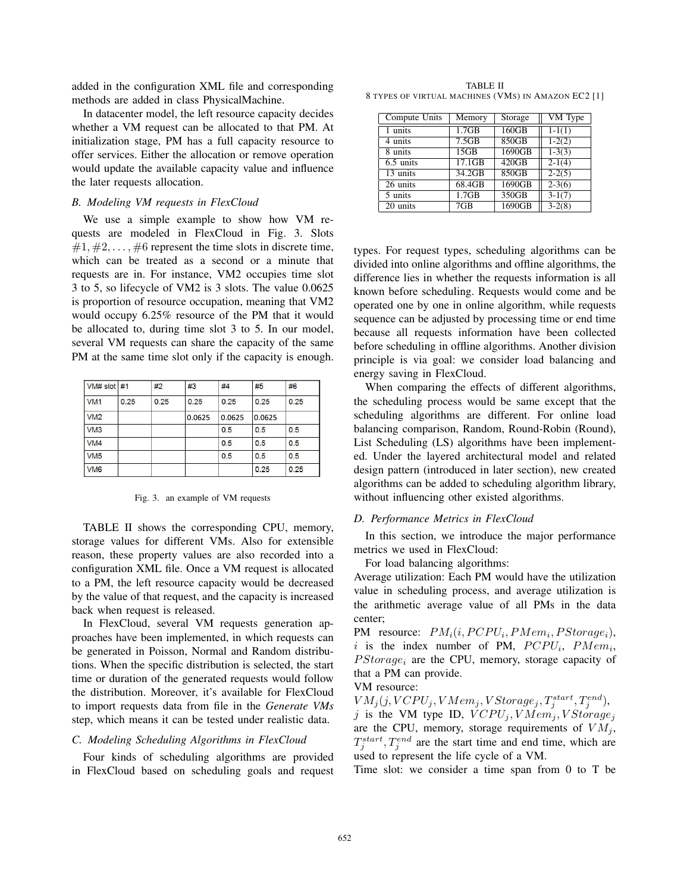added in the configuration XML file and corresponding methods are added in class PhysicalMachine.

In datacenter model, the left resource capacity decides whether a VM request can be allocated to that PM. At initialization stage, PM has a full capacity resource to offer services. Either the allocation or remove operation would update the available capacity value and influence the later requests allocation.

## *B. Modeling VM requests in FlexCloud*

We use a simple example to show how VM requests are modeled in FlexCloud in Fig. 3. Slots  $\#1, \#2, \ldots, \#6$  represent the time slots in discrete time, which can be treated as a second or a minute that requests are in. For instance, VM2 occupies time slot 3 to 5, so lifecycle of VM2 is 3 slots. The value 0.0625 is proportion of resource occupation, meaning that VM2 would occupy 6.25% resource of the PM that it would be allocated to, during time slot 3 to 5. In our model, several VM requests can share the capacity of the same PM at the same time slot only if the capacity is enough.

| VM# slot #1     |      | #2   | #3     | #4     | #5     | #6   |
|-----------------|------|------|--------|--------|--------|------|
| VM <sub>1</sub> | 0.25 | 0.25 | 0.25   | 0.25   | 0.25   | 0.25 |
| VM2             |      |      | 0.0625 | 0.0625 | 0.0625 |      |
| VM3             |      |      |        | 0.5    | 0.5    | 0.5  |
| VM4             |      |      |        | 0.5    | 0.5    | 0.5  |
| VM <sub>5</sub> |      |      |        | 0.5    | 0.5    | 0.5  |
| VM <sub>6</sub> |      |      |        |        | 0.25   | 0.25 |

Fig. 3. an example of VM requests

TABLE II shows the corresponding CPU, memory, storage values for different VMs. Also for extensible reason, these property values are also recorded into a configuration XML file. Once a VM request is allocated to a PM, the left resource capacity would be decreased by the value of that request, and the capacity is increased back when request is released.

In FlexCloud, several VM requests generation approaches have been implemented, in which requests can be generated in Poisson, Normal and Random distributions. When the specific distribution is selected, the start time or duration of the generated requests would follow the distribution. Moreover, it's available for FlexCloud to import requests data from file in the *Generate VMs* step, which means it can be tested under realistic data.

#### *C. Modeling Scheduling Algorithms in FlexCloud*

Four kinds of scheduling algorithms are provided in FlexCloud based on scheduling goals and request

TABLE II 8 TYPES OF VIRTUAL MACHINES (VMS) IN AMAZON EC2 [1]

| Compute Units | Memory | Storage  | VM Type    |
|---------------|--------|----------|------------|
| 1 units       | 1.7GB  | 160GB    | $1-1(1)$   |
| 4 units       | 7.5GB  | 850GB    | $1-2(2)$   |
| 8 units       | 15GB   | 1690GB   | $1 - 3(3)$ |
| 6.5 units     | 17.1GB | $420$ GB | $2-1(4)$   |
| 13 units      | 34.2GB | 850GB    | $2-2(5)$   |
| 26 units      | 68.4GB | 1690GB   | $2-3(6)$   |
| 5 units       | 1.7GB  | 350GB    | $3-1(7)$   |
| $20$ units    | 7GB    | 1690GB   | $3 - 2(8)$ |

types. For request types, scheduling algorithms can be divided into online algorithms and offline algorithms, the difference lies in whether the requests information is all known before scheduling. Requests would come and be operated one by one in online algorithm, while requests sequence can be adjusted by processing time or end time because all requests information have been collected before scheduling in offline algorithms. Another division principle is via goal: we consider load balancing and energy saving in FlexCloud.

When comparing the effects of different algorithms, the scheduling process would be same except that the scheduling algorithms are different. For online load balancing comparison, Random, Round-Robin (Round), List Scheduling (LS) algorithms have been implemented. Under the layered architectural model and related design pattern (introduced in later section), new created algorithms can be added to scheduling algorithm library, without influencing other existed algorithms.

#### *D. Performance Metrics in FlexCloud*

In this section, we introduce the major performance metrics we used in FlexCloud:

For load balancing algorithms:

Average utilization: Each PM would have the utilization value in scheduling process, and average utilization is the arithmetic average value of all PMs in the data center;

PM resource:  $PM_i(i, PCPU_i, PMem_i, PStorage_i)$ , i is the index number of PM,  $PCPU_i$ ,  $PMem_i$ ,  $PStorage_i$  are the CPU, memory, storage capacity of that a PM can provide.

#### VM resource:

 $VM_j(j, VCPU_j, VMem_j, VStorage_j, T_j^{start}, T_j^{end}),$ <br>i is the VM type ID  $VCPU_j, VMem_j, VStorage_j$ j is the VM type ID,  $VCPU_j, VMem_j, VStorage_j$ <br>are the CPU memory storage requirements of  $VM$ . are the CPU, memory, storage requirements of  $VM_j$ ,  $T_j^{start}$ ,  $T_j^{end}$  are the start time and end time, which are used to represent the life cycle of a VM.

Time slot: we consider a time span from 0 to T be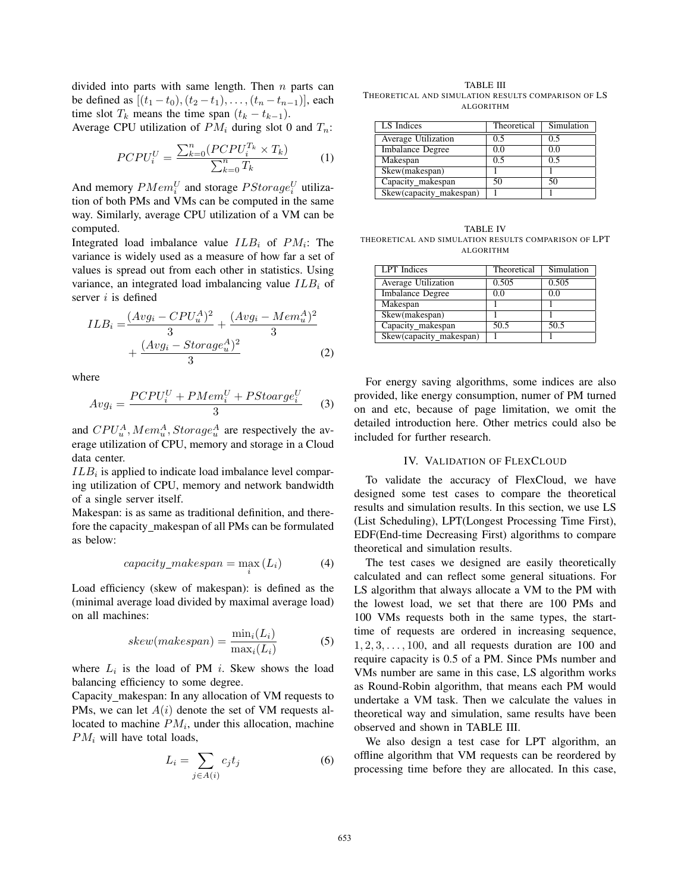divided into parts with same length. Then  $n$  parts can be defined as  $[(t_1 - t_0), (t_2 - t_1), \ldots, (t_n - t_{n-1})]$ , each time slot  $T_k$  means the time span  $(t_k - t_{k-1})$ .

Average CPU utilization of  $PM_i$  during slot 0 and  $T_n$ :

$$
PCPU_i^U = \frac{\sum_{k=0}^{n} (PCPU_i^{T_k} \times T_k)}{\sum_{k=0}^{n} T_k}
$$
 (1)

And memory  $PMem_i^U$  and storage  $PStorage_i^U$  utilization of both PMs and VMs can be computed in the same tion of both PMs and VMs can be computed in the same way. Similarly, average CPU utilization of a VM can be computed.

Integrated load imbalance value  $ILB_i$  of  $PM_i$ : The variance is widely used as a measure of how far a set of values is spread out from each other in statistics. Using variance, an integrated load imbalancing value  $ILB_i$  of server  $i$  is defined

$$
ILB_i = \frac{(Avg_i - CPU_u^A)^2}{3} + \frac{(Avg_i - Mem_u^A)^2}{3} + \frac{(Avg_i - Storage_u^A)^2}{3}
$$
\n
$$
(2)
$$

where

$$
Avg_i = \frac{PCPU_i^U + PMem_i^U + PStoarge_i^U}{3} \tag{3}
$$

and  $CPU<sub>u</sub><sup>A</sup>, Mem<sub>u</sub><sup>A</sup>, Storage<sub>u</sub><sup>A</sup> are respectively the average utilization of CPU memory and storage in a Cloud$ erage utilization of CPU, memory and storage in a Cloud data center.

 $ILB<sub>i</sub>$  is applied to indicate load imbalance level comparing utilization of CPU, memory and network bandwidth of a single server itself.

Makespan: is as same as traditional definition, and therefore the capacity makespan of all PMs can be formulated as below:

$$
capacity\_makespan = \max_{i} (L_i)
$$
 (4)

Load efficiency (skew of makespan): is defined as the (minimal average load divided by maximal average load) on all machines:

$$
skew(makespan) = \frac{\min_i(L_i)}{\max_i(L_i)}
$$
 (5)

where  $L_i$  is the load of PM i. Skew shows the load balancing efficiency to some degree.

Capacity makespan: In any allocation of VM requests to PMs, we can let  $A(i)$  denote the set of VM requests allocated to machine  $PM_i$ , under this allocation, machine  $PM_i$  will have total loads,

$$
L_i = \sum_{j \in A(i)} c_j t_j \tag{6}
$$

TABLE III THEORETICAL AND SIMULATION RESULTS COMPARISON OF LS ALGORITHM

| LS Indices              | Theoretical | Simulation |  |
|-------------------------|-------------|------------|--|
| Average Utilization     | 0.5         | 0.5        |  |
| <b>Imbalance Degree</b> | 0.0         | 0.0        |  |
| Makespan                | 0.5         | 0.5        |  |
| Skew(makespan)          |             |            |  |
| Capacity_makespan       | 50          | 50         |  |
| Skew(capacity_makespan) |             |            |  |

TABLE IV THEORETICAL AND SIMULATION RESULTS COMPARISON OF LPT ALGORITHM

| LPT Indices             | Theoretical | Simulation |
|-------------------------|-------------|------------|
| Average Utilization     | 0.505       | 0.505      |
| <b>Imbalance Degree</b> | 0.0         | 0.0        |
| Makespan                |             |            |
| Skew(makespan)          |             |            |
| Capacity_makespan       | 50.5        | 50.5       |
| Skew(capacity_makespan) |             |            |

For energy saving algorithms, some indices are also provided, like energy consumption, numer of PM turned on and etc, because of page limitation, we omit the detailed introduction here. Other metrics could also be included for further research.

#### IV. VALIDATION OF FLEXCLOUD

To validate the accuracy of FlexCloud, we have designed some test cases to compare the theoretical results and simulation results. In this section, we use LS (List Scheduling), LPT(Longest Processing Time First), EDF(End-time Decreasing First) algorithms to compare theoretical and simulation results.

The test cases we designed are easily theoretically calculated and can reflect some general situations. For LS algorithm that always allocate a VM to the PM with the lowest load, we set that there are 100 PMs and 100 VMs requests both in the same types, the starttime of requests are ordered in increasing sequence,  $1, 2, 3, \ldots, 100$ , and all requests duration are 100 and require capacity is 0.5 of a PM. Since PMs number and VMs number are same in this case, LS algorithm works as Round-Robin algorithm, that means each PM would undertake a VM task. Then we calculate the values in theoretical way and simulation, same results have been observed and shown in TABLE III.

We also design a test case for LPT algorithm, an offline algorithm that VM requests can be reordered by processing time before they are allocated. In this case,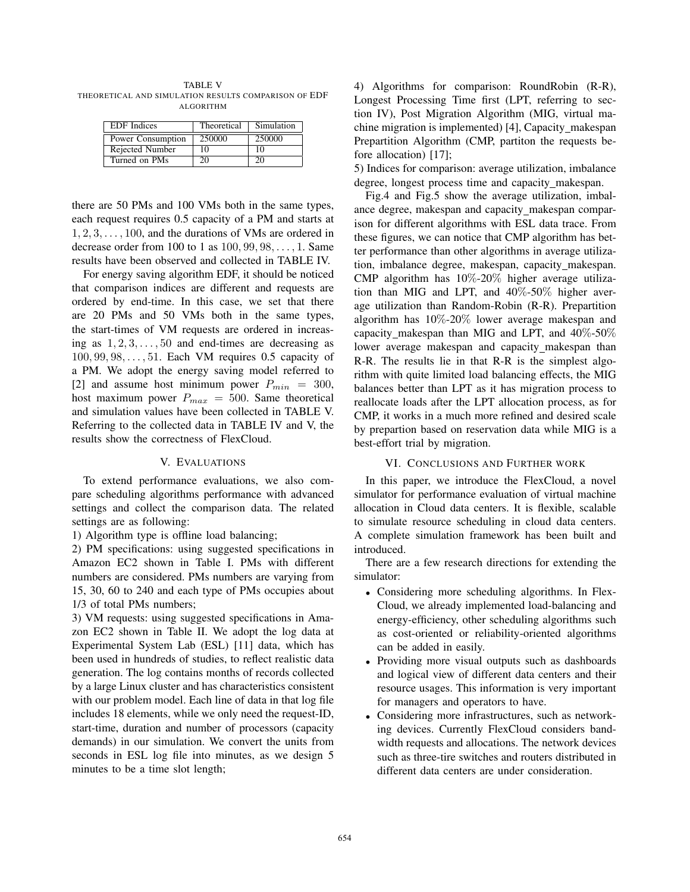TABLE V THEORETICAL AND SIMULATION RESULTS COMPARISON OF EDF ALGORITHM

| <b>EDF</b> Indices | Theoretical | Simulation |  |
|--------------------|-------------|------------|--|
| Power Consumption  | 250000      | 250000     |  |
| Rejected Number    | 10          | 10         |  |
| Turned on PMs      | 20          | 20         |  |

there are 50 PMs and 100 VMs both in the same types, each request requires 0.5 capacity of a PM and starts at  $1, 2, 3, \ldots, 100$ , and the durations of VMs are ordered in decrease order from 100 to 1 as <sup>100</sup>, <sup>99</sup>, <sup>98</sup>,..., <sup>1</sup>. Same results have been observed and collected in TABLE IV.

For energy saving algorithm EDF, it should be noticed that comparison indices are different and requests are ordered by end-time. In this case, we set that there are 20 PMs and 50 VMs both in the same types, the start-times of VM requests are ordered in increasing as  $1, 2, 3, \ldots, 50$  and end-times are decreasing as <sup>100</sup>, <sup>99</sup>, <sup>98</sup>,..., <sup>51</sup>. Each VM requires 0.5 capacity of a PM. We adopt the energy saving model referred to [2] and assume host minimum power  $P_{min} = 300$ , host maximum power  $P_{max} = 500$ . Same theoretical and simulation values have been collected in TABLE V. Referring to the collected data in TABLE IV and V, the results show the correctness of FlexCloud.

## V. EVALUATIONS

To extend performance evaluations, we also compare scheduling algorithms performance with advanced settings and collect the comparison data. The related settings are as following:

1) Algorithm type is offline load balancing;

2) PM specifications: using suggested specifications in Amazon EC2 shown in Table I. PMs with different numbers are considered. PMs numbers are varying from 15, 30, 60 to 240 and each type of PMs occupies about 1/3 of total PMs numbers;

3) VM requests: using suggested specifications in Amazon EC2 shown in Table II. We adopt the log data at Experimental System Lab (ESL) [11] data, which has been used in hundreds of studies, to reflect realistic data generation. The log contains months of records collected by a large Linux cluster and has characteristics consistent with our problem model. Each line of data in that log file includes 18 elements, while we only need the request-ID, start-time, duration and number of processors (capacity demands) in our simulation. We convert the units from seconds in ESL log file into minutes, as we design 5 minutes to be a time slot length;

4) Algorithms for comparison: RoundRobin (R-R), Longest Processing Time first (LPT, referring to section IV), Post Migration Algorithm (MIG, virtual machine migration is implemented) [4], Capacity makespan Prepartition Algorithm (CMP, partiton the requests before allocation) [17];

5) Indices for comparison: average utilization, imbalance degree, longest process time and capacity makespan.

Fig.4 and Fig.5 show the average utilization, imbalance degree, makespan and capacity makespan comparison for different algorithms with ESL data trace. From these figures, we can notice that CMP algorithm has better performance than other algorithms in average utilization, imbalance degree, makespan, capacity makespan. CMP algorithm has 10%-20% higher average utilization than MIG and LPT, and 40%-50% higher average utilization than Random-Robin (R-R). Prepartition algorithm has 10%-20% lower average makespan and capacity makespan than MIG and LPT, and 40%-50% lower average makespan and capacity makespan than R-R. The results lie in that R-R is the simplest algorithm with quite limited load balancing effects, the MIG balances better than LPT as it has migration process to reallocate loads after the LPT allocation process, as for CMP, it works in a much more refined and desired scale by prepartion based on reservation data while MIG is a best-effort trial by migration.

## VI. CONCLUSIONS AND FURTHER WORK

In this paper, we introduce the FlexCloud, a novel simulator for performance evaluation of virtual machine allocation in Cloud data centers. It is flexible, scalable to simulate resource scheduling in cloud data centers. A complete simulation framework has been built and introduced.

There are a few research directions for extending the simulator:

- Considering more scheduling algorithms. In Flex-Cloud, we already implemented load-balancing and energy-efficiency, other scheduling algorithms such as cost-oriented or reliability-oriented algorithms can be added in easily.
- Providing more visual outputs such as dashboards and logical view of different data centers and their resource usages. This information is very important for managers and operators to have.
- Considering more infrastructures, such as networking devices. Currently FlexCloud considers bandwidth requests and allocations. The network devices such as three-tire switches and routers distributed in different data centers are under consideration.